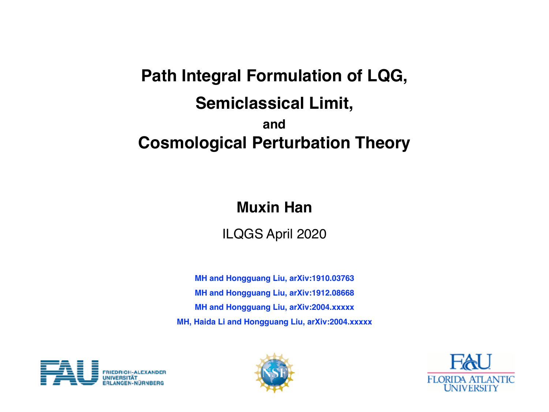# **Path Integral Formulation of LQG, Semiclassical Limit, and Cosmological Perturbation Theory**

## **Muxin Han**

ILQGS April 2020

**MH and Hongguang Liu, arXiv:1910.03763 MH and Hongguang Liu, arXiv:1912.08668 MH and Hongguang Liu, arXiv:2004.xxxxx MH, Haida Li and Hongguang Liu, arXiv:2004.xxxxx**





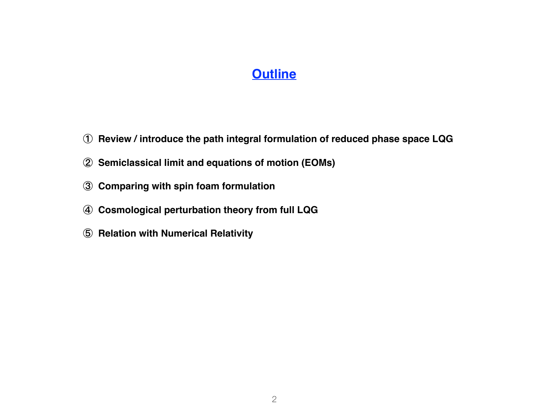#### **Outline**

- **Review / introduce the path integral formulation of reduced phase space LQG**
- **Semiclassical limit and equations of motion (EOMs)**
- **Comparing with spin foam formulation**
- **Cosmological perturbation theory from full LQG**
- **Relation with Numerical Relativity**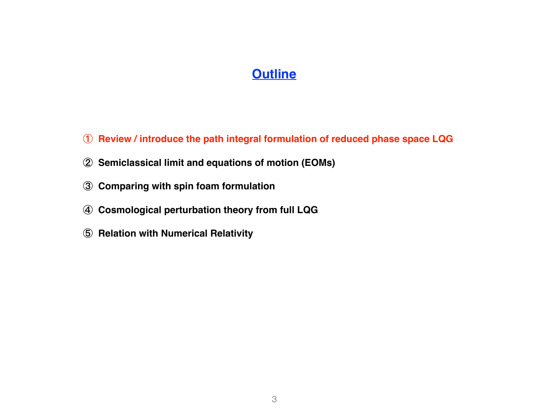#### **Outline**

- **Review / introduce the path integral formulation of reduced phase space LQG**
- **Semiclassical limit and equations of motion (EOMs)**
- **Comparing with spin foam formulation**
- **Cosmological perturbation theory from full LQG**
- **Relation with Numerical Relativity**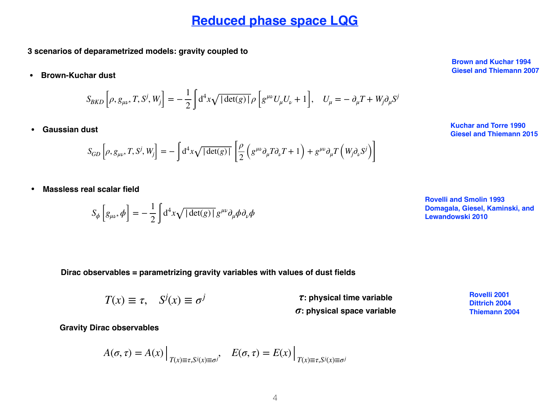**3 scenarios of deparametrized models: gravity coupled to**

**• Brown-Kuchar dust**

$$
S_{BKD}\left[\rho, g_{\mu\nu}, T, S^j, W_j\right] = -\frac{1}{2} \int d^4x \sqrt{|\det(g)|} \rho \left[g^{\mu\nu} U_\mu U_\nu + 1\right], \quad U_\mu = -\partial_\mu T + W_j \partial_\mu S^j
$$

**• Gaussian dust**

$$
S_{GD}\left[\rho, g_{\mu\nu}, T, S^j, W_j\right] = -\int d^4x \sqrt{|\det(g)|} \left[\frac{\rho}{2} \left(g^{\mu\nu}\partial_\mu T \partial_\nu T + 1\right) + g^{\mu\nu}\partial_\mu T \left(W_j \partial_\nu S^j\right)\right]
$$

**• Massless real scalar field**

$$
S_{\phi}\left[g_{\mu\nu},\phi\right] = -\frac{1}{2}\int d^{4}x\sqrt{|\det(g)|}g^{\mu\nu}\partial_{\mu}\phi\partial_{\nu}\phi
$$

**Brown and Kuchar 1994 Giesel and Thiemann 2007**

**Kuchar and Torre 1990 Giesel and Thiemann 2015**

**Rovelli and Smolin 1993 Domagala, Giesel, Kaminski, and Lewandowski 2010**

**Dirac observables = parametrizing gravity variables with values of dust fields**

 $T(x) \equiv \tau$ ,  $S^{j}(x) \equiv \sigma^{j}$ *τ***: physical time variable**  *σ***: physical space variable** **Rovelli 2001 Dittrich 2004 Thiemann 2004**

**Gravity Dirac observables**

$$
A(\sigma, \tau) = A(x) \Big|_{T(x) \equiv \tau, S^j(x) \equiv \sigma^j}, \quad E(\sigma, \tau) = E(x) \Big|_{T(x) \equiv \tau, S^j(x) \equiv \sigma^j}
$$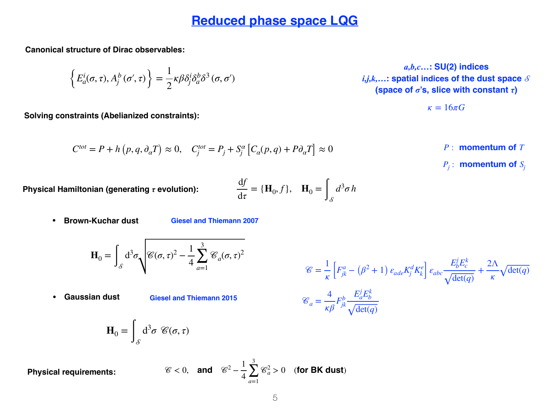**Canonical structure of Dirac observables:** 

 $\left\{ E_a^i(\sigma,\tau), A_f^b(\sigma',\tau) \right\} =$ 1 2  $\kappa \beta \delta^i_j \delta^b_a \delta^3$  (*σ*, *σ*΄)

**Solving constraints (Abelianized constraints):** 

$$
C^{tot} = P + h(p, q, \partial_{\alpha} T) \approx 0, \quad C_j^{tot} = P_j + S_j^{\alpha} \left[ C_{\alpha}(p, q) + P \partial_{\alpha} T \right] \approx 0
$$

*a,b,c…***: SU(2) indices** *i,j,k,…***: spatial indices of the dust space (space of** *σ***'s, slice with constant** *τ***)**

$$
\kappa=16\pi G
$$

*<i>P*: **momentum** of *T* 

 $P_i$ : **momentum** of  $S_i$ 

**Physical Hamiltonian (generating** *τ* **evolution):** 

$$
\frac{\mathrm{d}f}{\mathrm{d}\tau} = \{\mathbf{H}_0, f\}, \quad \mathbf{H}_0 = \int_{\mathcal{S}} d^3 \sigma \, h
$$

**• Brown-Kuchar dust**

**Giesel and Thiemann 2007**

$$
\mathbf{H}_0 = \int_{\mathcal{S}} d^3 \sigma \sqrt{\mathcal{C}(\sigma, \tau)^2 - \frac{1}{4} \sum_{a=1}^3 \mathcal{C}_a(\sigma, \tau)^2}
$$

**• Gaussian dust**

**Giesel and Thiemann 2015**

$$
\mathcal{C} = \frac{1}{\kappa} \left[ F_{jk}^a - (\beta^2 + 1) \varepsilon_{ade} K_j^d K_k^e \right] \varepsilon_{abc} \frac{E_b^j E_c^k}{\sqrt{\det(q)}} + \frac{2\Lambda}{\kappa} \sqrt{\det(q)}
$$

$$
\mathcal{C}_a = \frac{4}{\kappa \beta} F_{jk}^b \frac{E_a^j E_b^k}{\sqrt{\det(q)}}
$$

$$
\mathbf{H}_0 = \int_{\mathcal{S}} \mathrm{d}^3 \sigma \ \mathcal{C}(\sigma, \tau)
$$

**Physical requirements:**  $\mathscr{C}<0$ .

and 
$$
\mathcal{C}^2 - \frac{1}{4} \sum_{a=1}^3 \mathcal{C}_a^2 > 0
$$
 (for BK dust)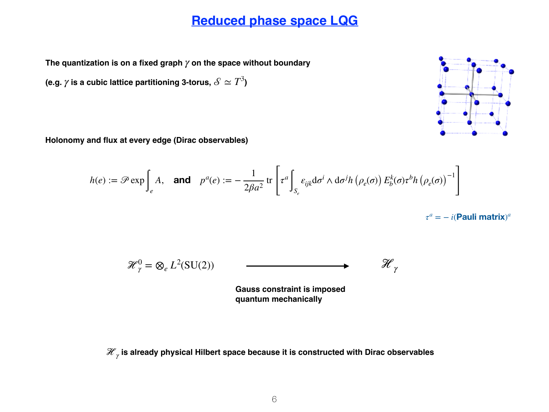The quantization is on a fixed graph  $\gamma$  on the space without boundary

(e.g.  $\gamma$  is a cubic lattice partitioning 3-torus,  $\mathscr{S}\simeq T^3$ )

**Holonomy and flux at every edge (Dirac observables)**

$$
h(e) := \mathscr{P} \exp \int_{e} A, \quad \text{and} \quad p^{a}(e) := -\frac{1}{2\beta a^{2}} \operatorname{tr} \left[ \tau^{a} \int_{S_{e}} \varepsilon_{ijk} \mathrm{d} \sigma^{i} \wedge \mathrm{d} \sigma^{j} h \left( \rho_{e}(\sigma) \right) E_{b}^{k}(\sigma) \tau^{b} h \left( \rho_{e}(\sigma) \right)^{-1} \right]
$$

 $\tau^a = -i$ (**Pauli** matrix)<sup>*a*</sup>

$$
\mathcal{H}_{\gamma}^{0} = \otimes_{e} L^{2}(\mathrm{SU}(2)) \qquad \qquad \longrightarrow \qquad \mathcal{H}_{\gamma}
$$

**Gauss constraint is imposed quantum mechanically**

ℋ **is already physical Hilbert space because it is constructed with Dirac observables** *<sup>γ</sup>*

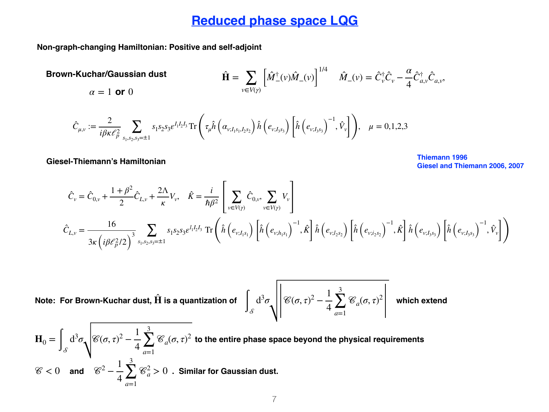**Non-graph-changing Hamiltonian: Positive and self-adjoint**

**Brown-Kuchar/Gaussian dust** *v*∈*V*(*γ*)  $\left| \hat{M}^{\dagger}_{-}(v) \hat{M}^{\phantom{\dagger}}_{-}(v) \right|$ 1/4  $\hat{M}_{-}(v) = \hat{C}_{v}^{\dagger} \hat{C}_{v} - \frac{\alpha}{4}$ 4  $\hat{C}^{\dagger}_{a,\nu}\hat{C}_{a,\nu}$  $\alpha = 1$  **or** 0

$$
\hat{C}_{\mu,\nu} := \frac{2}{i\beta\kappa\ell_p^2} \sum_{s_1,s_2,s_3=\pm 1} s_1 s_2 s_3 \varepsilon^{I_1 I_2 I_3} \operatorname{Tr}\left(\tau_\mu \hat{h}\left(\alpha_{\nu;I_1 s_1,I_2 s_2}\right) \hat{h}\left(e_{\nu;I_3 s_3}\right) \left[\hat{h}\left(e_{\nu;I_3 s_3}\right)^{-1},\hat{V}_\nu\right]\right), \quad \mu = 0,1,2,3
$$

**Giesel-Thiemann's Hamiltonian Thiemann 1996**

**Giesel and Thiemann 2006, 2007**

$$
\hat{C}_{v} = \hat{C}_{0,v} + \frac{1+\beta^{2}}{2}\hat{C}_{L,v} + \frac{2\Lambda}{\kappa}V_{v}, \quad \hat{K} = \frac{i}{\hbar\beta^{2}}\left[\sum_{v\in V(\gamma)}\hat{C}_{0,v}, \sum_{v\in V(\gamma)}V_{v}\right]
$$
\n
$$
\hat{C}_{L,v} = \frac{16}{3\kappa\left(i\beta\ell_{p}^{2}/2\right)^{3}}\sum_{s_{1},s_{2},s_{3}=\pm1}s_{1}s_{2}s_{3}\varepsilon^{l_{1}l_{2}l_{3}}\operatorname{Tr}\left(\hat{h}\left(e_{v;I_{1}s_{1}}\right)\left[\hat{h}\left(e_{v;I_{1}s_{1}}\right)^{-1},\hat{K}\right]\hat{h}\left(e_{v;I_{2}s_{2}}\right)\left[\hat{h}\left(e_{v;I_{2}s_{2}}\right)^{-1},\hat{K}\right]\hat{h}\left(e_{v;I_{3}s_{3}}\right)\left[\hat{h}\left(e_{v;I_{3}s_{3}}\right)^{-1},\hat{V}_{v}\right]\right)
$$

Note: For Brown-Kuchar dust, 
$$
\hat{H}
$$
 is a quantization of  $\int_{\mathcal{S}} d^3 \sigma \sqrt{\mathcal{E}(\sigma, \tau)^2 - \frac{1}{4} \sum_{a=1}^3 \mathcal{E}_a(\sigma, \tau)^2}$  which extend

 $\mathbf{H}_0 = \int_{\mathcal{S}} \mathrm{d}^3 \sigma \sqrt{\mathscr{C}(\sigma, \tau)^2 - \frac{1}{4} \sum_{a=1}^3 \mathscr{C}_a(\sigma, \tau)^2}$  to the entire phase space beyond the physical requirements  $\mathscr{C} < 0$  and  $\mathscr{C}^2 - \frac{1}{4} \sum_{a}^{3} \mathscr{C}^2_a > 0$  . Similar for Gaussian dust. 4 3 ∑ *a*=1  $\mathscr{C}_a(\sigma,\tau)^2$ 4 3 ∑ *a*=1  $\mathscr{C}_a^2 > 0$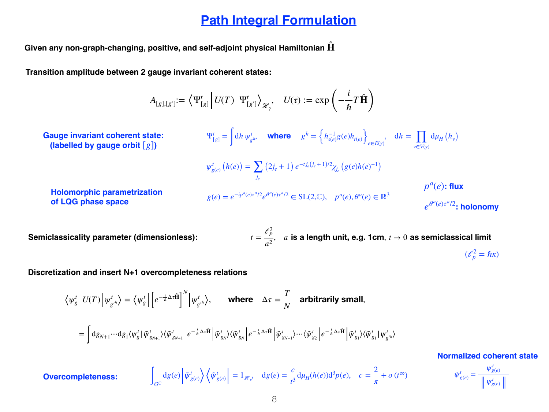#### **Path Integral Formulation**

**Given any non-graph-changing, positive, and self-adjoint physical Hamiltonian H**̂

**Transition amplitude between 2 gauge invariant coherent states:**

$$
A_{[g],[g']}:=\left\langle \Psi_{[g]}^t \middle| U(T) \middle| \Psi_{[g']}^t \right\rangle_{\mathcal{H}_\gamma}, \quad U(\tau) := \exp\left(-\frac{i}{\hbar}T\hat{\mathbf{H}}\right)
$$

**Gauge invariant coherent state: (labelled by gauge orbit** [*g*]**)**

$$
\Psi_{[g]}^{t} = \int dh \, \psi_{g^{h}}^{t}, \quad \text{where} \quad g^{h} = \left\{ h_{s(e)}^{-1} g(e) h_{t(e)} \right\}_{e \in E(\gamma)}, \quad dh = \prod_{v \in V(\gamma)} d\mu_{H}(h_{v})
$$
\n
$$
\psi_{g(e)}^{t} (h(e)) = \sum_{j_{e}} (2j_{e} + 1) e^{-t j_{e}(j_{e} + 1)/2} \chi_{j_{e}} (g(e) h(e)^{-1})
$$
\n
$$
g(e) = e^{-ip^{a}(e)\tau^{a}/2} e^{\theta^{a}(e)\tau^{a}/2} \in SL(2, \mathbb{C}), \quad p^{a}(e), \theta^{a}(e) \in \mathbb{R}^{3}
$$
\n
$$
e^{\theta^{a}(e)\tau^{a}/2} \colon \text{holonomy}
$$

**Holomorphic parametrization of LQG phase space** 

**Semiclassicality parameter (dimensionless):** 

$$
t = \frac{\ell_P^2}{a^2}, \quad a \text{ is a length unit, e.g. 1cm, } t \to 0 \text{ as semiclassical limit}
$$
\n
$$
(\ell_P^2 = \hbar \kappa)
$$

*π*

**Discretization and insert N+1 overcompleteness relations**

 $\int_{G^{\text{C}}}$ 

 $\langle \psi_g^t | U(T) | \psi_{g^{\prime h}}^t \rangle = \langle \psi_g^t | e^{-\frac{i}{\hbar} \Delta \tau \hat{H}}$  $\overline{\phantom{a}}$ *N*  $\langle \psi^t_{g^{\prime h}} \rangle$ , where  $\Delta \tau = \frac{T}{N}$  $\frac{1}{N}$  **arbitrarily small**,

$$
=\int\!\mathrm{d} g_{N+1} \cdots\mathrm{d} g_1\langle \psi^t_g\,|\,\tilde{\psi}^t_{g_{N+1}}\rangle\langle \tilde{\psi}^t_{g_{N+1}}\left| \,e^{-\frac{i}{\hbar}\Delta\tau\hat{\mathbf{H}}}\right|\tilde{\psi}^t_{g_N}\rangle\langle \tilde{\psi}^t_{g_N}\left| \,e^{-\frac{i}{\hbar}\Delta\tau\hat{\mathbf{H}}}\right|\tilde{\psi}^t_{g_{N-1}}\rangle\cdots\langle \tilde{\psi}^t_{g_2}\left| \,e^{-\frac{i}{\hbar}\Delta\tau\hat{\mathbf{H}}}\right|\tilde{\psi}^t_{g_1}\rangle\langle \tilde{\psi}^t_{g_1}\,|\,\psi^t_{g_N}\rangle
$$

 $\frac{dg(e)}{p^{t}}\left(\tilde{\psi}_{g(e)}^{t}\right) = 1_{\mathcal{H}_{e}}, \quad dg(e) = \frac{c}{t^{3}}$ 

**Overcompleteness:**  $dg(e) \left| \tilde{\psi}_{g(e)}^t \right\rangle \left\langle \tilde{\psi}_{g(e)}^t \right| = 1_{\mathcal{H}_e}, \quad dg(e) = \frac{c}{\epsilon^3} d\mu_H(h(e)) d^3 p(e), \quad c = \frac{c}{\epsilon} + o(t^{\infty})$ 

**Normalized coherent state**

$$
\tilde{\psi}_{g(e)}^t = \frac{\psi_{g(e)}^t}{\| \psi_{g(e)}^t\|}
$$

*t*3

 $d\mu_H(h(e))d^3p(e), c = \frac{2}{\pi}$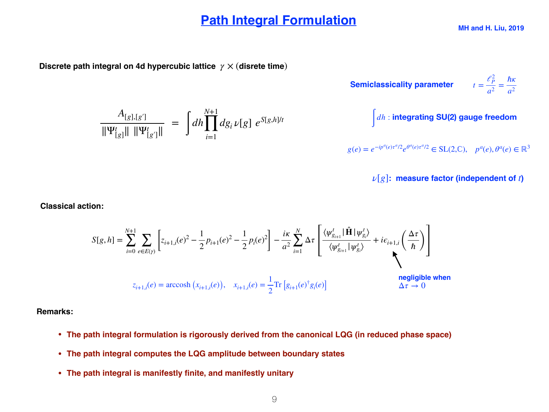#### **Path Integral Formulation**

#### **Discrete path integral on 4d hypercubic lattice** *γ* × (**disrete time**)

$$
\frac{A_{[g],[g']}}{\|\Psi^t_{[g]}\| \|\Psi^t_{[g']}\|} = \int dh \prod_{i=1}^{N+1} dg_i \nu[g] e^{S[g,h]/t}
$$

**Semiclassically parameter** 
$$
t = \frac{\ell_P^2}{a^2} = \frac{\hbar \kappa}{a^2}
$$

$$
d\mathbf{h}:
$$
 integrating SU(2) gauge freedom

 $g(e) = e^{-ip^a(e)\tau^a/2}e^{\theta^a(e)\tau^a/2} \in SL(2,\mathbb{C}), \quad p^a(e), \theta^a(e) \in \mathbb{R}^3$ 

*ν*[*g*]**: measure factor (independent of** *t***)**

**Classical action:**

$$
S[g,h] = \sum_{i=0}^{N+1} \sum_{e \in E(\gamma)} \left[ z_{i+1,i}(e)^2 - \frac{1}{2} p_{i+1}(e)^2 - \frac{1}{2} p_i(e)^2 \right] - \frac{i\kappa}{a^2} \sum_{i=1}^N \Delta \tau \left[ \frac{\langle \psi_{g_{i+1}}^t | \hat{\mathbf{H}} | \psi_{g_i}^t \rangle}{\langle \psi_{g_{i+1}}^t | \psi_{g_i}^t \rangle} + i\epsilon_{i+1,i} \left( \frac{\Delta \tau}{\hbar} \right) \right]
$$
  

$$
z_{i+1,i}(e) = \operatorname{arccosh} (x_{i+1,i}(e)), \quad x_{i+1,i}(e) = \frac{1}{2} \operatorname{Tr} \left[ g_{i+1}(e)^\dagger g_i(e) \right]
$$
  
negligible when  
 $\Delta \tau \to 0$ 

**Remarks:**

- **• The path integral formulation is rigorously derived from the canonical LQG (in reduced phase space)**
- **• The path integral computes the LQG amplitude between boundary states**
- **• The path integral is manifestly finite, and manifestly unitary**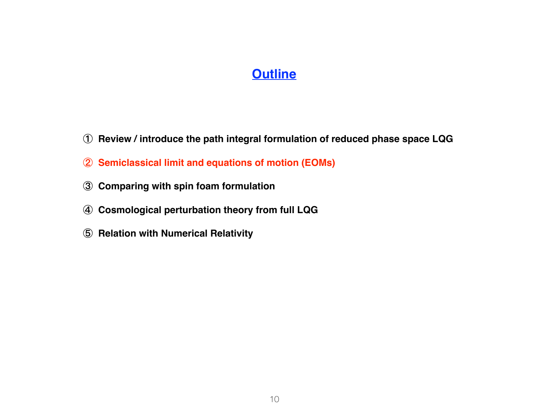#### **Outline**

- **Review / introduce the path integral formulation of reduced phase space LQG**
- **Semiclassical limit and equations of motion (EOMs)**
- **Comparing with spin foam formulation**
- **Cosmological perturbation theory from full LQG**
- **Relation with Numerical Relativity**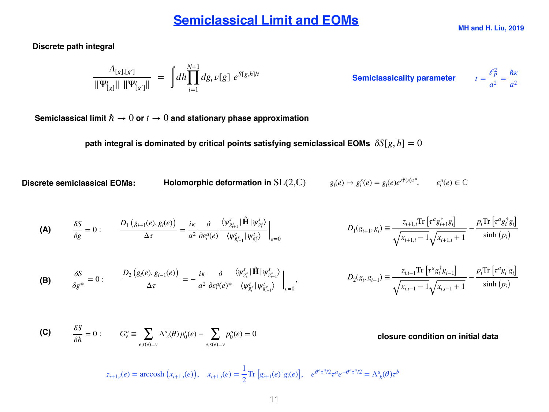#### **Semiclassical Limit and EOMs**

**MH and H. Liu, 2019**

**Discrete path integral** 

$$
\frac{A_{[g],[g']}}{\|\Psi_{[g]}^t\| \ \|\Psi_{[g']}^t\|} \ = \ \int dh \prod_{i=1}^{N+1} dg_i \, \nu[g] \ e^{S[g,h]/t} \qquad \qquad \text{Semiclassicality parameter} \qquad t = \frac{\ell_P^2}{a^2} = \frac{\hbar \kappa}{a^2}
$$

 $t = \frac{\ell_P^2}{2}$ 

Semiclassical limit  $\hbar \to 0$  or  $t \to 0$  and stationary phase approximation

**path integral is dominated by critical points satisfying semiclassical EOMs**  $\delta S[g,h] = 0$ 

**Discrete semiclassical EOMs:** Holomorphic deformation in 
$$
SL(2,\mathbb{C})
$$
  $g_i(e) \mapsto g_i^{\varepsilon}(e) = g_i(e)e^{\varepsilon_i^a(e)\tau^a}, \qquad \varepsilon_i^a(e) \in \mathbb{C}$ 

$$
\begin{array}{ll}\n\mathbf{A} & \frac{\delta S}{\delta g} = 0: \\
\frac{D_1\left(g_{i+1}(e), g_i(e)\right)}{\Delta \tau} = \frac{i\kappa}{a^2} \frac{\partial}{\partial \varepsilon_i^a(e)} \frac{\langle \psi_{g_{i+1}^e}^t | \hat{\mathbf{H}} | \psi_{g_i^e}^t \rangle}{\langle \psi_{g_{i+1}^e}^t | \psi_{g_i^e}^t \rangle} \bigg|_{e=0} \\
& D_1(g_{i+1}, g_i) \equiv \frac{z_{i+1,i} \text{Tr}\left[\tau^a g_{i+1}^{\dagger} g_i\right]}{\sqrt{x_{i+1,i} - 1} \sqrt{x_{i+1,i} + 1}} - \frac{p_i \text{Tr}\left[\tau^a g_i^{\dagger} g_i\right]}{\sinh\left(p_i\right)}\n\end{array}
$$

$$
\textbf{(B)} \qquad \frac{\delta S}{\delta g^*} = 0: \qquad \frac{D_2(g_i(e), g_{i-1}(e))}{\Delta \tau} = -\frac{i\kappa}{a^2} \frac{\partial}{\partial \epsilon_i^a(e)^*} \frac{\langle \psi_{g_i^e}^t | \hat{\mathbf{H}} | \psi_{g_{i-1}^e}^t \rangle}{\langle \psi_{g_i^e}^t | \psi_{g_{i-1}^e}^t \rangle} \bigg|_{e=0}, \qquad \qquad D_2(g_i, g_{i-1}) \equiv \frac{z_{i,i-1} \text{Tr} \left[ \tau^a g_i^{\dagger} g_{i-1} \right]}{\sqrt{x_{i,i-1} - 1} \sqrt{x_{i,i-1} + 1}} - \frac{p_i \text{Tr} \left[ \tau^a g_i^{\dagger} g_i \right]}{\sinh (p_i)}
$$

(C) 
$$
\frac{\delta S}{\delta h} = 0: \qquad G_v^a \equiv \sum_{e,t(e)=v} \Lambda_{c}^a(\theta) p_0^c(e) - \sum_{e,s(e)=v} p_0^a(e) = 0
$$
 closure condition on initial data

 $z_{i+1,i}(e) = \operatorname{arccosh}(x_{i+1,i}(e)), \quad x_{i+1,i}(e) = \frac{1}{2}$ 2 Tr  $[g_{i+1}(e)^{\dagger}g_i(e)],$   $e^{\theta^a\tau^a/2}\tau^a e^{-\theta^a\tau^a/2} = \Lambda^a{}_b(\theta)\tau^b$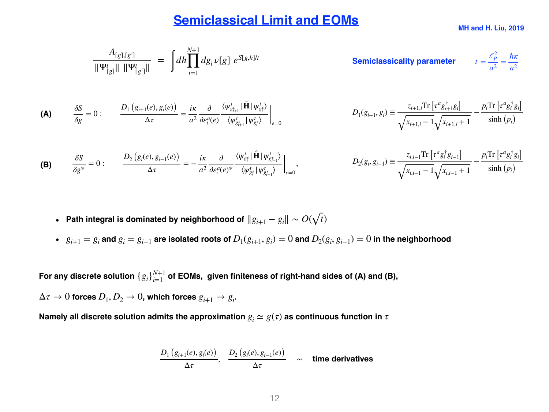#### **Semiclassical Limit and EOMs**

$$
\frac{A_{[g],[g']}}{\|\Psi^t_{[g]}\| \|\Psi^t_{[g']}\|} = \int dh \prod_{i=1}^{N+1} dg_i \nu[g] e^{S[g,h]/t}
$$
\nSemiclassically parameter

\n
$$
t = \frac{\ell_P^2}{a^2} = \frac{\hbar \kappa}{a^2}
$$

$$
\begin{array}{ll}\n\mathbf{A} & \frac{\delta S}{\delta g} = 0: \\
\frac{D_1\left(g_{i+1}(e), g_i(e)\right)}{\Delta \tau} = \frac{i\kappa}{a^2} \frac{\partial}{\partial \varepsilon_i^a(e)} \frac{\langle \psi_{g_{i+1}^e}^t | \hat{\mathbf{H}} | \psi_{g_i^e}^t \rangle}{\langle \psi_{g_{i+1}^e}^t | \psi_{g_i^e}^t \rangle} \bigg|_{e=0} \\
& D_1(g_{i+1}, g_i) \equiv \frac{z_{i+1,i} \text{Tr}\left[\tau^a g_{i+1}^\dagger g_i\right]}{\sqrt{x_{i+1,i} - 1} \sqrt{x_{i+1,i} + 1}} - \frac{p_i \text{Tr}\left[\tau^a g_i^\dagger g_i\right]}{\sinh\left(p_i\right)}\n\end{array}
$$

$$
\textbf{(B)} \qquad \frac{\delta S}{\delta g^*} = 0: \qquad \frac{D_2(g_i(e), g_{i-1}(e))}{\Delta \tau} = -\frac{i\kappa}{a^2} \frac{\partial}{\partial \varepsilon_i^a(e)^*} \frac{\langle \psi_{g_i^e}^t | \hat{\mathbf{H}} | \psi_{g_{i-1}^e}^t \rangle}{\langle \psi_{g_i^e}^t | \psi_{g_{i-1}^e}^t \rangle} \bigg|_{e=0}, \qquad \qquad D_2(g_i, g_{i-1}) \equiv \frac{z_{i,i-1} \text{Tr} \left[ \tau^a g_i^{\dagger} g_{i-1} \right]}{\sqrt{x_{i,i-1} - 1} \sqrt{x_{i,i-1} + 1}} - \frac{p_i \text{Tr} \left[ \tau^a g_i^{\dagger} g_i \right]}{\sinh (p_i)}
$$

- Path integral is dominated by neighborhood of  $||g_{i+1} g_i|| \sim O(\sqrt{t})$
- $g_{i+1} = g_i$  and  $g_i = g_{i-1}$  are isolated roots of  $D_1(g_{i+1}, g_i) = 0$  and  $D_2(g_i, g_{i-1}) = 0$  in the neighborhood

For any discrete solution  $\{g_i\}_{i=1}^{N+1}$  of EOMs,  $\,$  given finiteness of right-hand sides of (A) and (B),

 $\Delta \tau \rightarrow 0$  forces  $D_1, D_2 \rightarrow 0$ , which forces  $g_{i+1} \rightarrow g_i$ .

**Namely all discrete solution admits the approximation**  $g_i \simeq g(\tau)$  **as continuous function in**  $\tau$ 

$$
\frac{D_1(g_{i+1}(e), g_i(e))}{\Delta \tau}, \frac{D_2(g_i(e), g_{i-1}(e))}{\Delta \tau} \sim \text{time derivatives}
$$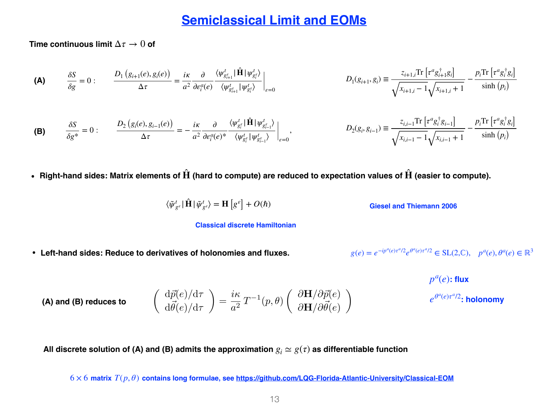#### **Semiclassical Limit and EOMs**

**Time continuous limit** Δ*τ* → 0 **of**

$$
\begin{aligned}\n\textbf{(A)} \qquad \frac{\delta S}{\delta g} = 0: \qquad \frac{D_1\left(g_{i+1}(e), g_i(e)\right)}{\Delta \tau} = \frac{i\kappa}{a^2} \frac{\partial}{\partial \varepsilon_i^a(e)} \frac{\langle \psi_{g_{i+1}^e}^t | \hat{\mathbf{H}} | \psi_{g_i^e}^t \rangle}{\langle \psi_{g_{i+1}^e}^t | \psi_{g_i^e}^t \rangle} \bigg|_{e=0} \\
& D_1(g_{i+1}, g_i) \equiv \frac{z_{i+1,i} \text{Tr}\left[\tau^a g_{i+1}^{\dagger} g_i\right]}{\sqrt{x_{i+1,i} - 1} \sqrt{x_{i+1,i} + 1}} - \frac{p_i \text{Tr}\left[\tau^a g_i^{\dagger} g_i\right]}{\sinh\left(p_i\right)}\n\end{aligned}
$$

$$
\textbf{(B)} \qquad \frac{\delta S}{\delta g^*} = 0: \qquad \frac{D_2\left(g_i(e), g_{i-1}(e)\right)}{\Delta \tau} = -\frac{i\kappa}{a^2} \frac{\partial}{\partial \varepsilon_i^a(e)^*} \frac{\langle \psi_{g_i^{\varepsilon}}^t | \hat{\mathbf{H}} | \psi_{g_{i-1}^{\varepsilon}}^t \rangle}{\langle \psi_{g_i^{\varepsilon}}^t | \psi_{g_{i-1}^{\varepsilon}}^t \rangle} \Big|_{\varepsilon=0}, \qquad \qquad D_2(g_i, g_{i-1}) \equiv \frac{z_{i,i-1} \text{Tr}\left[\tau^a g_i^{\dagger} g_{i-1}\right]}{\sqrt{x_{i,i-1} - 1} \sqrt{x_{i,i-1} + 1}} - \frac{p_i \text{Tr}\left[\tau^a g_i^{\dagger} g_i\right]}{\sinh\left(p_i\right)}
$$

• Right-hand sides: Matrix elements of  $\hat{H}$  (hard to compute) are reduced to expectation values of  $\hat{H}$  (easier to compute).

$$
\langle \tilde{\psi}_{g^{\varepsilon}}^t | \hat{\mathbf{H}} | \tilde{\psi}_{g^{\varepsilon}}^t \rangle = \mathbf{H} [g^{\varepsilon}] + O(\hbar)
$$

**Giesel and Thiemann 2006** 

#### **Classical discrete Hamiltonian**

**• Left-hand sides: Reduce to derivatives of holonomies and fluxes.**

 $g(e) = e^{-ip^a(e)\tau^a/2}e^{\theta^a(e)\tau^a/2} \in SL(2,\mathbb{C}), \quad p^a(e), \theta^a(e) \in \mathbb{R}^3$ 

$$
p^{a}(e): \mathbf{flux}
$$

$$
e^{\theta^{a}(e)\tau^{a}/2}
$$
: **holonomy**

**(A) and (B) reduces to**

$$
\begin{pmatrix}\n\frac{d\vec{p}(e)}{d\vec{\theta}(e)}d\tau \\
\frac{d\vec{\theta}(e)}{d\tau}\n\end{pmatrix} = \frac{i\kappa}{a^2} T^{-1}(p,\theta) \begin{pmatrix}\n\frac{\partial \mathbf{H}}{\partial \mathbf{p}(e)} \\
\frac{\partial \mathbf{H}}{\partial \vec{\theta}(e)}\n\end{pmatrix}
$$

All discrete solution of (A) and (B) admits the approximation  $g_i \simeq g(\tau)$  as differentiable function

6 × 6 **matrix** *T*(*p*, *θ*) **contains long formulae, see<https://github.com/LQG-Florida-Atlantic-University/Classical-EOM>**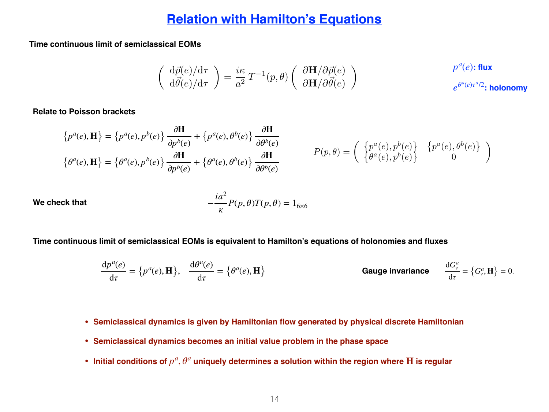#### **Relation with Hamilton's Equations**

**Time continuous limit of semiclassical EOMs**

$$
\left(\begin{array}{c}\n\mathrm{d}\vec{p}(e)/\mathrm{d}\tau \\
\mathrm{d}\vec{\theta}(e)/\mathrm{d}\tau\n\end{array}\right) = \frac{i\kappa}{a^2} \, T^{-1}(p,\theta) \left(\begin{array}{c}\n\partial \mathbf{H}/\partial \vec{p}(e) \\
\partial \mathbf{H}/\partial \vec{\theta}(e)\n\end{array}\right) \qquad p^a(e): \text{flux} \qquad \qquad p^a(e): \text{flux} \qquad \qquad \text{holonomy}
$$

**Relate to Poisson brackets**

$$
\{p^{a}(e), \mathbf{H}\} = \{p^{a}(e), p^{b}(e)\} \frac{\partial \mathbf{H}}{\partial p^{b}(e)} + \{p^{a}(e), \theta^{b}(e)\} \frac{\partial \mathbf{H}}{\partial \theta^{b}(e)}
$$
  
\n
$$
\{\theta^{a}(e), \mathbf{H}\} = \{\theta^{a}(e), p^{b}(e)\} \frac{\partial \mathbf{H}}{\partial p^{b}(e)} + \{\theta^{a}(e), \theta^{b}(e)\} \frac{\partial \mathbf{H}}{\partial \theta^{b}(e)}
$$
  
\n
$$
P(p, \theta) = \begin{pmatrix} \{p^{a}(e), p^{b}(e)\} & \{p^{a}(e), \theta^{b}(e)\} \\ \{\theta^{a}(e), p^{b}(e)\} & 0 \end{pmatrix}
$$

We check that 
$$
-\frac{ia^2}{\kappa}P(p,\theta)T(p,\theta) = 1_{6\times 6}
$$

**Time continuous limit of semiclassical EOMs is equivalent to Hamilton's equations of holonomies and fluxes**

$$
\frac{dp^{a}(e)}{d\tau} = \{p^{a}(e), \mathbf{H}\}, \quad \frac{d\theta^{a}(e)}{d\tau} = \{\theta^{a}(e), \mathbf{H}\}
$$
\nGauge invariance

\n
$$
\frac{dG_{\nu}^{a}}{d\tau} = \{G_{\nu}^{a}, \mathbf{H}\} = 0.
$$

- **• Semiclassical dynamics is given by Hamiltonian flow generated by physical discrete Hamiltonian**
- **• Semiclassical dynamics becomes an initial value problem in the phase space**
- Initial conditions of  $p^a, \theta^a$  uniquely determines a solution within the region where  $\bf H$  is regular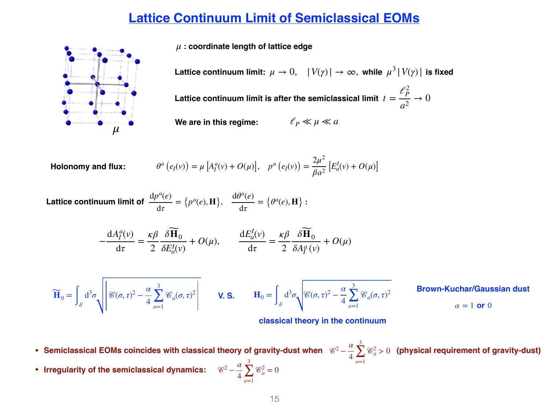#### **Lattice Continuum Limit of Semiclassical EOMs**

*μ* **: coordinate length of lattice edge**

Lattice continuum limit:  $\mu \to 0, \quad |V(\gamma)| \to \infty,$  while  $\mu^3 |V(\gamma)|$  is fixed

Lattice continuum limit is after the semiclassical limit  $t=$  $\ell_P^2$ *a*2  $\rightarrow 0$ 

**We are in this regime:**  $\ell_p \ll \mu \ll a$ 

 $\theta^a(e_I(v)) = \mu[A_I^a(v) + O(\mu)], \quad p^a(e_I(v)) = \frac{2\mu^2}{\beta a^2}$  $\theta^a(e_I(v)) = \mu[A_I^a(v) + O(\mu)], \quad p^a(e_I(v)) = \frac{2\mu}{\beta a^2}[E_a^I(v) + O(\mu)]$ 

Lattice continuum limit of  $\frac{dp}{dx} = \{p^a(e), H\}, \frac{dp}{dx} = \{p^a(e), H\}$ :  $dp^a(e)$  $\frac{\partial}{\partial \tau}$  = {*p<sup>a</sup>*  $(e), \mathbf{H}$ ,  $\frac{d\theta^a(e)}{dt}$  $\frac{\partial}{\partial \tau}$  = { $\theta^a(e), \mathbf{H}$ }

> $-\frac{dA_I^a(v)}{1}$ d*τ* = *κβ* 2  $\delta \mathbf{\widetilde{H}}_0$ *δEI <sup>a</sup>*(*v*)  $+ O(\mu), \qquad \frac{\mathrm{d}E_a^I(\nu)}{1}$ d*τ* = *κβ* 2  $\delta \mathbf{\widetilde{H}}_0$  $\delta A_I^a(v)$  $+ O(\mu)$

$$
\widetilde{\mathbf{H}}_0 = \int_{\mathcal{S}} d^3 \sigma \sqrt{\mathcal{E}(\sigma, \tau)^2 - \frac{\alpha}{4} \sum_{a=1}^3 \mathcal{E}_a(\sigma, \tau)^2} \quad \mathbf{V. S.} \quad \mathbf{H}_0 = \int_{\mathcal{S}} d^3 \sigma \sqrt{\mathcal{E}(\sigma, \tau)^2 - \frac{\alpha}{4} \sum_{a=1}^3 \mathcal{E}_a(\sigma, \tau)^2}
$$

4

3

*a*=1

 $\sum \mathcal{C}_a^2 = 0$ 

**Brown-Kuchar/Gaussian dust**

 $\alpha = 1$  or 0

2 *<sup>a</sup>* > 0 **(physical requirement of gravity-dust)**

**classical theory in the continuum**

4

3

∑ *a*=1

- **• Semiclassical EOMs coincides with classical theory of gravity-dust when**  <sup>2</sup> <sup>−</sup> *<sup>α</sup>*
- **•** Irregularity of the semiclassical dynamics:  $\mathscr{C}^2 \frac{\alpha}{4}$

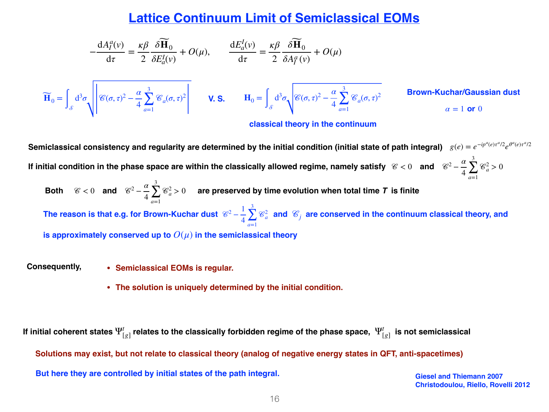#### **Lattice Continuum Limit of Semiclassical EOMs**

$$
-\frac{dA_{I}^{a}(v)}{d\tau} = \frac{\kappa \beta}{2} \frac{\delta \widetilde{H}_{0}}{\delta E_{a}^{I}(v)} + O(\mu), \qquad \frac{dE_{a}^{I}(v)}{d\tau} = \frac{\kappa \beta}{2} \frac{\delta \widetilde{H}_{0}}{\delta A_{I}^{a}(v)} + O(\mu)
$$
  

$$
\widetilde{H}_{0} = \int_{\mathcal{S}} d^{3}\sigma \sqrt{\mathcal{E}(\sigma, \tau)^{2} - \frac{\alpha}{4} \sum_{a=1}^{3} \mathcal{E}_{a}(\sigma, \tau)^{2}} \qquad \text{V. S.} \qquad H_{0} = \int_{\mathcal{S}} d^{3}\sigma \sqrt{\mathcal{E}(\sigma, \tau)^{2} - \frac{\alpha}{4} \sum_{a=1}^{3} \mathcal{E}_{a}(\sigma, \tau)^{2}} \qquad \text{Brown-Kuchar/Gaussian dust}
$$
  
classical theory in the continuum

**Semiclassical consistency and regularity are determined by the initial condition (initial state of path integral)** *g*(*e*) = *e*−*ipa*(*e*)*<sup>τ</sup> <sup>a</sup>*/2*eθa*(*e*)*<sup>τ</sup> <sup>a</sup>*/2 If initial condition in the phase space are within the classically allowed regime, namely satisfy  $\ \mathscr{C}<0\quad$  and  $\ \ \mathscr{C}^2-\frac{\alpha}{4}$ 4 3  $\sum \mathcal{C}_a^2 > 0$ *a*=1  $\mathscr{C} < 0$  **and**  $\mathscr{C}^2 - \frac{\alpha}{4}$ 4 3 Both  $\mathscr{C} < 0$  and  $\mathscr{C}^2 - \frac{a}{4} \sum \mathscr{C}_a^2 > 0$  are preserved by time evolution when total time  $\bm{T}$  is finite *a*=1 The reason is that e.g. for Brown-Kuchar dust  $\mathscr{C}^2 - \frac{1}{4} \sum^3 \mathscr{C}_a^2$  and  $\mathscr{C}_j$  are conserved in the continuum classical theory, and is approximately conserved up to  $O(\mu)$  in the semiclassical theory 4 3 ∑ *a*=1  $\mathscr{C}_a^2$  and  $\mathscr{C}_j$ 

**• Semiclassical EOMs is regular. Consequently,**

**• The solution is uniquely determined by the initial condition.**

If initial coherent states  $\Psi_{[g]}^t$  relates to the classically forbidden regime of the phase space,  $\,\Psi_{[g]}^t\,$  is not semiclassical **Solutions may exist, but not relate to classical theory (analog of negative energy states in QFT, anti-spacetimes) But here they are controlled by initial states of the path integral.**

**Giesel and Thiemann 2007 Christodoulou, Riello, Rovelli 2012**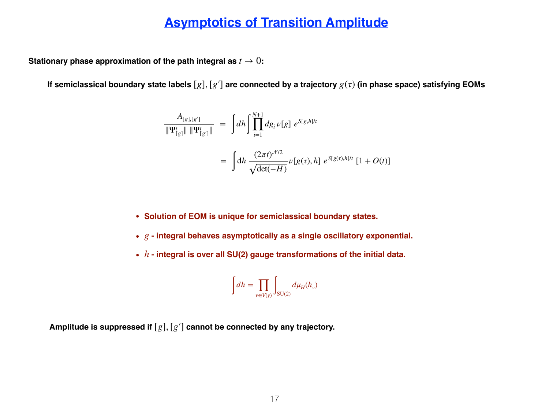#### **Asymptotics of Transition Amplitude**

**Stationary phase approximation of the path integral as**  $t \to 0$ **:** 

**If semiclassical boundary state labels** [*g*], [*g*′] **are connected by a trajectory** *g*(*τ*) **(in phase space) satisfying EOMs** 

$$
\frac{A_{[g],[g']}}{\|\Psi^t_{[g]}\| \|\Psi^t_{[g']}\|} = \int dh \int \prod_{i=1}^{N+1} dg_i \nu[g] e^{S[g,h]/t}
$$

$$
= \int dh \frac{(2\pi t)^{\mathcal{N}/2}}{\sqrt{\det(-H)}} \nu[g(\tau),h] e^{S[g(\tau),h]/t} [1 + O(t)]
$$

- **• Solution of EOM is unique for semiclassical boundary states.**
- $g$  integral behaves asymptotically as a single oscillatory exponential.
- $h$  integral is over all SU(2) gauge transformations of the initial data.

$$
\int dh = \prod_{v \in V(\gamma)} \int_{SU(2)} d\mu_H(h_v)
$$

**Amplitude is suppressed if** [*g*], [*g*′] **cannot be connected by any trajectory.**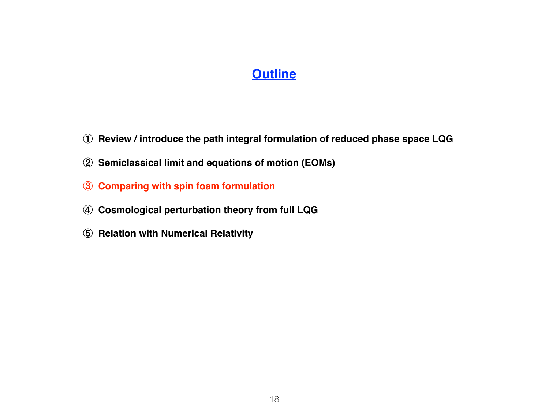#### **Outline**

- **Review / introduce the path integral formulation of reduced phase space LQG**
- **Semiclassical limit and equations of motion (EOMs)**
- **Comparing with spin foam formulation**
- **Cosmological perturbation theory from full LQG**
- **Relation with Numerical Relativity**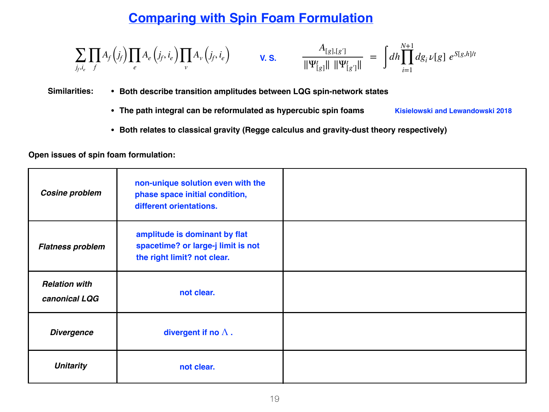### **Comparing with Spin Foam Formulation**

$$
\sum_{j_f,i_e} \prod_{f} A_f(j_f) \prod_e A_e(j_f,i_e) \prod_v A_v(j_f,i_e) \qquad \mathbf{V.S.} \qquad \frac{A_{[g],[g']}}{\|\Psi_{[g]}^t\| \|\Psi_{[g']}^t\|} = \int dh \prod_{i=1}^{N+1} dg_i \nu[g] e^{S[g,h]/t}
$$

#### **Similarities: • Both describe transition amplitudes between LQG spin-network states**

- **• The path integral can be reformulated as hypercubic spin foams Kisielowski and Lewandowski 2018**
- **• Both relates to classical gravity (Regge calculus and gravity-dust theory respectively)**

**Open issues of spin foam formulation:**

| <b>Cosine problem</b>                 | non-unique solution even with the<br>phase space initial condition,<br>different orientations.     |  |
|---------------------------------------|----------------------------------------------------------------------------------------------------|--|
| <b>Flatness problem</b>               | amplitude is dominant by flat<br>spacetime? or large-j limit is not<br>the right limit? not clear. |  |
| <b>Relation with</b><br>canonical LQG | not clear.                                                                                         |  |
| <b>Divergence</b>                     | divergent if no $\Lambda$ .                                                                        |  |
| <b>Unitarity</b>                      | not clear.                                                                                         |  |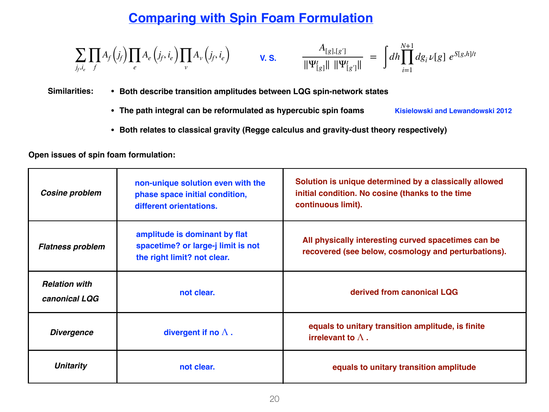### **Comparing with Spin Foam Formulation**

$$
\sum_{j_f,i_e} \prod_{f} A_f(j_f) \prod_e A_e(j_f,i_e) \prod_v A_v(j_f,i_e) \qquad \mathbf{V.S.} \qquad \frac{A_{[g],[g']}}{\|\Psi_{[g]}^t\| \|\Psi_{[g']}^t\|} = \int dh \prod_{i=1}^{N+1} dg_i \nu[g] e^{S[g,h]/t}
$$

#### **Similarities: • Both describe transition amplitudes between LQG spin-network states**

- **• The path integral can be reformulated as hypercubic spin foams Kisielowski and Lewandowski 2012**
- **• Both relates to classical gravity (Regge calculus and gravity-dust theory respectively)**

|  |  |  |  | Open issues of spin foam formulation: |
|--|--|--|--|---------------------------------------|
|--|--|--|--|---------------------------------------|

| <b>Cosine problem</b>                 | non-unique solution even with the<br>phase space initial condition,<br>different orientations.     | Solution is unique determined by a classically allowed<br>initial condition. No cosine (thanks to the time<br>continuous limit). |
|---------------------------------------|----------------------------------------------------------------------------------------------------|----------------------------------------------------------------------------------------------------------------------------------|
| <b>Flatness problem</b>               | amplitude is dominant by flat<br>spacetime? or large-j limit is not<br>the right limit? not clear. | All physically interesting curved spacetimes can be<br>recovered (see below, cosmology and perturbations).                       |
| <b>Relation with</b><br>canonical LQG | not clear.                                                                                         | derived from canonical LQG                                                                                                       |
| <b>Divergence</b>                     | divergent if no $\Lambda$ .                                                                        | equals to unitary transition amplitude, is finite<br>irrelevant to $\Lambda$ .                                                   |
| <b>Unitarity</b>                      | not clear.                                                                                         | equals to unitary transition amplitude                                                                                           |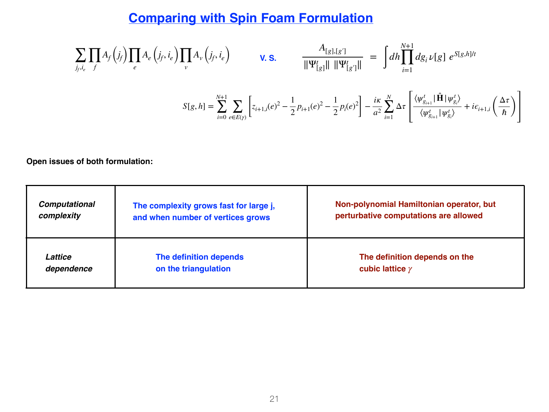### **Comparing with Spin Foam Formulation**

$$
\sum_{j_f, i_e} \prod_{f} A_f(j_f) \prod_{e} A_e(j_f, i_e) \prod_{v} A_v(j_f, i_e)
$$
\n
$$
\mathbf{V. S.} \qquad \frac{A_{[g],[g']}}{\|\Psi_{[g]}^t\| \|\Psi_{[g']}^t\|} = \int dh \prod_{i=1}^{N+1} dg_i \nu[g] e^{S[g,h]/t}
$$
\n
$$
S[g,h] = \sum_{i=0}^{N+1} \sum_{e \in E(\gamma)} \left[ z_{i+1,i}(e)^2 - \frac{1}{2} p_{i+1}(e)^2 - \frac{1}{2} p_i(e)^2 \right] - \frac{ik}{a^2} \sum_{i=1}^{N} \Delta \tau \left[ \frac{\langle \psi_{g_{i+1}}^t | \hat{\mathbf{H}} | \psi_{g_i}^t \rangle}{\langle \psi_{g_{i+1}}^t | \psi_{g_i}^t \rangle} + i \epsilon_{i+1,i} \left( \frac{\Delta \tau}{\hbar} \right) \right]
$$

**Open issues of both formulation:**

| <b>Computational</b> | The complexity grows fast for large j, | Non-polynomial Hamiltonian operator, but |
|----------------------|----------------------------------------|------------------------------------------|
| complexity           | and when number of vertices grows      | perturbative computations are allowed    |
| Lattice              | The definition depends                 | The definition depends on the            |
| dependence           | on the triangulation                   | cubic lattice $\gamma$                   |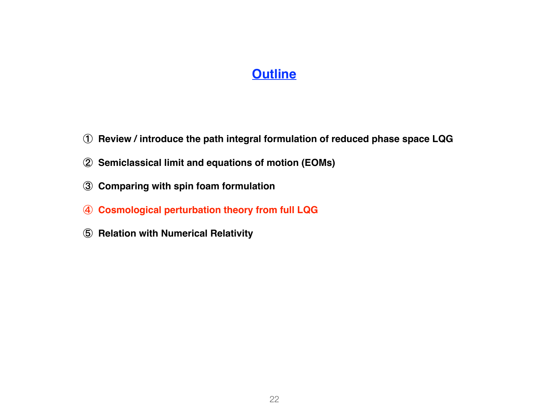#### **Outline**

- **Review / introduce the path integral formulation of reduced phase space LQG**
- **Semiclassical limit and equations of motion (EOMs)**
- **Comparing with spin foam formulation**
- **Cosmological perturbation theory from full LQG**
- **Relation with Numerical Relativity**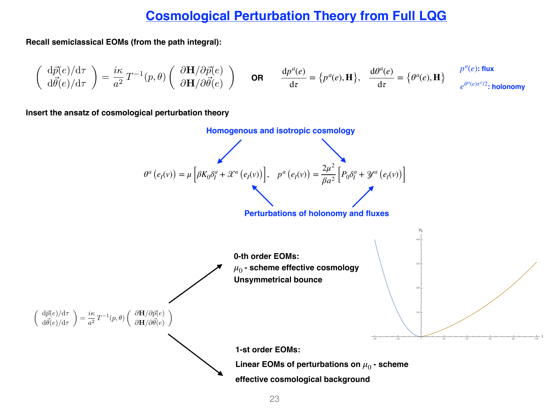#### **Cosmological Perturbation Theory from Full LQG**

**Recall semiclassical EOMs (from the path integral):**

$$
\left(\begin{array}{c}\mathrm{d}\vec{p}(e)/\mathrm{d}\tau\\\mathrm{d}\vec{\theta}(e)/\mathrm{d}\tau\end{array}\right)=\frac{i\kappa}{a^2}\,T^{-1}(p,\theta)\left(\begin{array}{c}\partial\mathbf{H}/\partial\vec{p}(e)\\\partial\mathbf{H}/\partial\vec{\theta}(e)\end{array}\right)\qquad\text{OR}\qquad\frac{\mathrm{d}p^a(e)}{\mathrm{d}\tau}=\left\{p^a(e),\mathbf{H}\right\},\quad\frac{\mathrm{d}\theta^a(e)}{\mathrm{d}\tau}=\left\{\theta^a(e),\mathbf{H}\right\}\qquad\frac{p^a(e);\text{flux}}{e^{\theta^a(e)\tau^a/2}:\text{holonomy}}
$$

**Insert the ansatz of cosmological perturbation theory** 

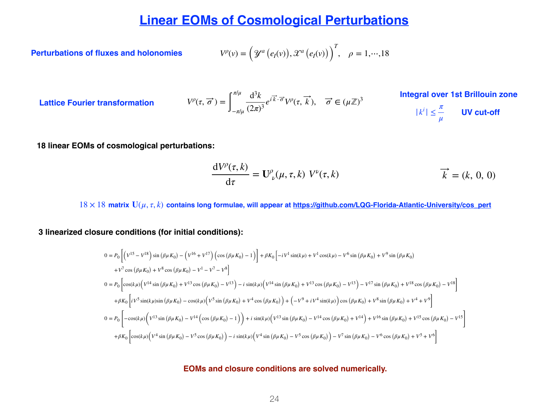#### **Linear EOMs of Cosmological Perturbations**

**Perturbations of fluxes and holonomies** 

$$
V^{\rho}(v) = \left(\mathcal{Y}^a\left(e_I(v)\right), \mathcal{X}^a\left(e_I(v)\right)\right)^T, \quad \rho = 1, \cdots, 18
$$

**Lattice Fourier transformation** 

$$
V^{\rho}(\tau, \vec{\sigma}) = \int_{-\pi/\mu}^{\pi/\mu} \frac{\mathrm{d}^3 k}{(2\pi)^3} e^{i\vec{k}\cdot\vec{\sigma}} V^{\rho}(\tau, \vec{k}), \quad \vec{\sigma} \in (\mu \mathbb{Z})^3
$$

**Integral over 1st Brillouin zone**

$$
|k^i| \leq \frac{\pi}{\mu} \qquad \text{UV cut-off}
$$

**18 linear EOMs of cosmological perturbations:**

$$
\frac{dV^{\rho}(\tau,k)}{d\tau} = \mathbf{U}^{\rho}_{\nu}(\mu,\tau,k) V^{\nu}(\tau,k) \qquad \overrightarrow{k} = (k, 0, 0)
$$

18 × 18 **matrix U**(*μ*, *τ*, *k*) **contains long formulae, will appear at https://github.com/LQG-Florida-Atlantic-University/cos\_pert**

**3 linearized closure conditions (for initial conditions):**

$$
0 = P_0 \left[ \left( V^{15} - V^{18} \right) \sin \left( \beta \mu K_0 \right) - \left( V^{16} + V^{17} \right) \left( \cos \left( \beta \mu K_0 \right) - 1 \right) \right] + \beta K_0 \left[ -i V^1 \sin(k\mu) + V^1 \cos(k\mu) - V^6 \sin \left( \beta \mu K_0 \right) + V^9 \sin \left( \beta \mu K_0 \right) \right]
$$
  
+  $V^7 \cos \left( \beta \mu K_0 \right) + V^8 \cos \left( \beta \mu K_0 \right) - V^1 - V^7 - V^8 \right]$   

$$
0 = P_0 \left[ \cos(k\mu) \left( V^{14} \sin \left( \beta \mu K_0 \right) + V^{13} \cos \left( \beta \mu K_0 \right) - V^{13} \right) - i \sin(k\mu) \left( V^{14} \sin \left( \beta \mu K_0 \right) + V^{13} \cos \left( \beta \mu K_0 \right) - V^{13} \right) - V^{17} \sin \left( \beta \mu K_0 \right) + V^{18} \cos \left( \beta \mu K_0 \right) - V^{18} \right]
$$
  
+  $\beta K_0 \left[ i V^5 \sin(k\mu) \sin \left( \beta \mu K_0 \right) - \cos(k\mu) \left( V^5 \sin \left( \beta \mu K_0 \right) + V^4 \cos \left( \beta \mu K_0 \right) \right) + \left( -V^9 + i V^4 \sin(k\mu) \right) \cos \left( \beta \mu K_0 \right) + V^8 \sin \left( \beta \mu K_0 \right) + V^4 + V^9 \right]$   

$$
0 = P_0 \left[ -\cos(k\mu) \left( V^{13} \sin \left( \beta \mu K_0 \right) - V^{14} \left( \cos \left( \beta \mu K_0 \right) - 1 \right) \right) + i \sin(k\mu) \left( V^{13} \sin \left( \beta \mu K_0 \right) - V^{14} \cos \left( \beta \mu K_0 \right) + V^{14} \right) + V^{16} \sin \left( \beta \mu K_0 \right) + V^{15} \cos \left( \beta \mu K_0 \right) - V^{15} \right]
$$
  
+  $\beta K$ 

#### **EOMs and closure conditions are solved numerically.**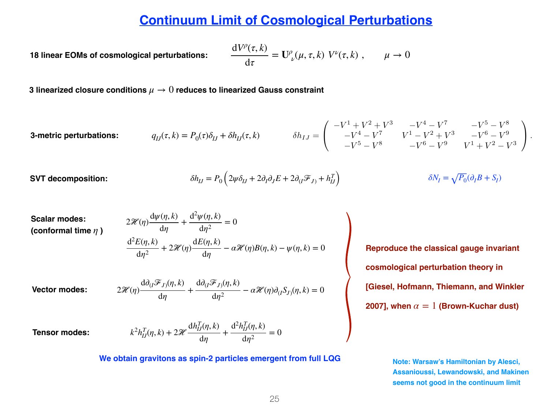#### **Continuum Limit of Cosmological Perturbations**

*18 linear EOMs of cosmological perturbations:* 

$$
\frac{\mathrm{d}V^{\rho}(\tau,k)}{\mathrm{d}\tau} = \mathbf{U}^{\rho}_{\nu}(\mu,\tau,k) V^{\nu}(\tau,k) , \qquad \mu \to 0
$$

**3 linearized closure conditions** *μ* → 0 **reduces to linearized Gauss constraint**

3-metric perturbations: 
$$
q_{IJ}(\tau,k) = P_0(\tau)\delta_{IJ} + \delta h_{IJ}(\tau,k) \qquad \delta h_{IJ} = \begin{pmatrix} -V^1 + V^2 + V^3 & -V^4 - V^7 & -V^5 - V^8 \\ -V^4 - V^7 & V^1 - V^2 + V^3 & -V^6 - V^9 \\ -V^5 - V^8 & -V^6 - V^9 & V^1 + V^2 - V^3 \end{pmatrix}.
$$

 $SVT$  decomposition:

$$
\delta h_{IJ} = P_0 \left( 2\psi \delta_{IJ} + 2\partial_I \partial_J E + 2\partial_{(I} \mathcal{F}_{J)} + h_{IJ}^T \right) \qquad \delta N_I = \sqrt{P_0} (\partial_I B + S_I)
$$

Scalar modes: (conformal time 
$$
\eta
$$
)

$$
2\mathcal{H}(\eta)\frac{d\psi(\eta,k)}{d\eta} + \frac{d^2\psi(\eta,k)}{d\eta^2} = 0
$$
  

$$
\frac{d^2E(\eta,k)}{d\eta^2} + 2\mathcal{H}(\eta)\frac{dE(\eta,k)}{d\eta} - \alpha\mathcal{H}(\eta)B(\eta,k) - \psi(\eta,k) = 0
$$

**Vector modes:** 

$$
2\mathcal{H}(\eta)\frac{\mathrm{d}\partial_{(I}\mathcal{F}_{J)}(\eta,k)}{\mathrm{d}\eta}+\frac{\mathrm{d}\partial_{(I}\mathcal{F}_{J)}(\eta,k)}{\mathrm{d}\eta^2}-\alpha\mathcal{H}(\eta)\partial_{(I}S_{J)}(\eta,k)=0
$$

**Tensor modes:** 

$$
k^{2}h_{IJ}^{T}(\eta, k) + 2\mathcal{H}\frac{\mathrm{d}h_{IJ}^{T}(\eta, k)}{\mathrm{d}\eta} + \frac{\mathrm{d}^{2}h_{IJ}^{T}(\eta, k)}{\mathrm{d}\eta^{2}} = 0
$$

**We obtain gravitons as spin-2 particles emergent from full LQG**

**Reproduce the classical gauge invariant cosmological perturbation theory in [Giesel, Hofmann, Thiemann, and Winkler 2007], when**  $\alpha = 1$  (Brown-Kuchar dust)

> **Note: Warsaw's Hamiltonian by Alesci, Assanioussi, Lewandowski, and Makinen seems not good in the continuum limit**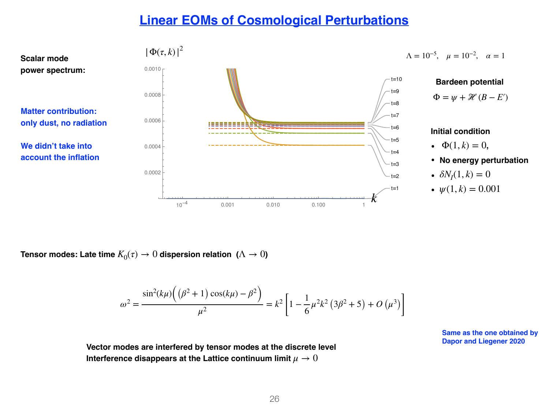#### **Linear EOMs of Cosmological Perturbations**



**Tensor modes:** Late time  $K_0(\tau) \to 0$  dispersion relation  $(\Lambda \to 0)$ 

$$
\omega^2 = \frac{\sin^2(k\mu)\left((\beta^2 + 1)\cos(k\mu) - \beta^2\right)}{\mu^2} = k^2 \left[1 - \frac{1}{6}\mu^2 k^2 \left(3\beta^2 + 5\right) + O\left(\mu^3\right)\right]
$$

**Dapor and Liegener 2020 Vector modes are interfered by tensor modes at the discrete level Interference disappears at the Lattice continuum limit**  $\mu \rightarrow 0$ 

**Same as the one obtained by**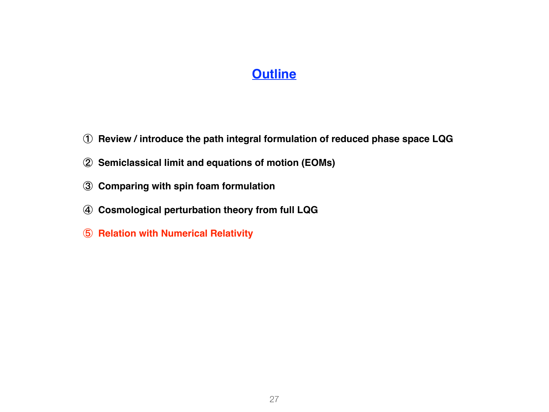#### **Outline**

- **Review / introduce the path integral formulation of reduced phase space LQG**
- **Semiclassical limit and equations of motion (EOMs)**
- **Comparing with spin foam formulation**
- **Cosmological perturbation theory from full LQG**
- **Relation with Numerical Relativity**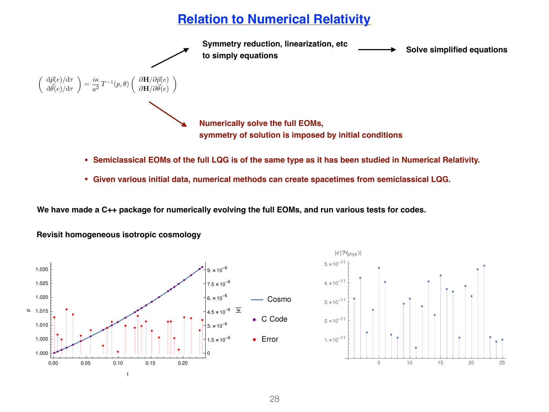### **Relation to Numerical Relativity**



- **• Semiclassical EOMs of the full LQG is of the same type as it has been studied in Numerical Relativity.**
- **• Given various initial data, numerical methods can create spacetimes from semiclassical LQG.**

**We have made a C++ package for numerically evolving the full EOMs, and run various tests for codes.**





**Revisit homogeneous isotropic cosmology**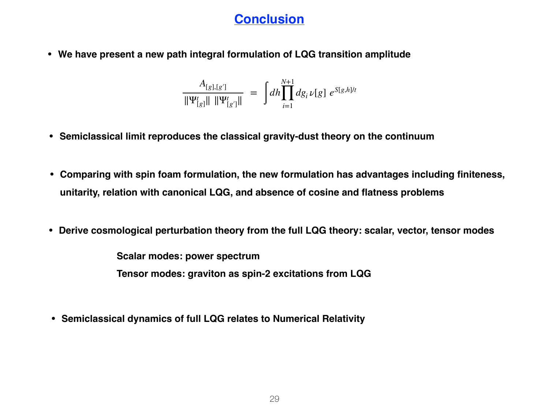### **Conclusion**

**• We have present a new path integral formulation of LQG transition amplitude**

$$
\frac{A_{[g],[g']}}{\|\Psi^t_{[g]}\| \|\Psi^t_{[g']}\|} = \int dh \prod_{i=1}^{N+1} dg_i \nu[g] e^{S[g,h]/t}
$$

- **• Semiclassical limit reproduces the classical gravity-dust theory on the continuum**
- **• Comparing with spin foam formulation, the new formulation has advantages including finiteness, unitarity, relation with canonical LQG, and absence of cosine and flatness problems**
- **• Derive cosmological perturbation theory from the full LQG theory: scalar, vector, tensor modes**

**Scalar modes: power spectrum**

**Tensor modes: graviton as spin-2 excitations from LQG**

**• Semiclassical dynamics of full LQG relates to Numerical Relativity**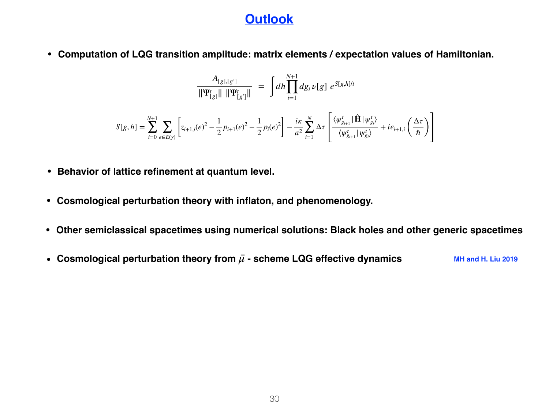#### **Outlook**

**• Computation of LQG transition amplitude: matrix elements / expectation values of Hamiltonian.**

$$
\frac{A_{[g],[g']}}{\|\Psi^t_{[g]}\| \|\Psi^t_{[g']}\|} = \int dh \prod_{i=1}^{N+1} dg_i \nu[g] e^{S[g,h]/t}
$$

$$
S[g,h] = \sum_{i=0}^{N+1} \sum_{e \in E(\gamma)} \left[ z_{i+1,i}(e)^2 - \frac{1}{2} p_{i+1}(e)^2 - \frac{1}{2} p_i(e)^2 \right] - \frac{i\kappa}{a^2} \sum_{i=1}^N \Delta \tau \left[ \frac{\langle \psi_{g_{i+1}}^t | \hat{\mathbf{H}} | \psi_{g_i}^t \rangle}{\langle \psi_{g_{i+1}}^t | \psi_{g_i}^t \rangle} + i \epsilon_{i+1,i} \left( \frac{\Delta \tau}{\hbar} \right) \right]
$$

- **• Behavior of lattice refinement at quantum level.**
- **• Cosmological perturbation theory with inflaton, and phenomenology.**
- **• Other semiclassical spacetimes using numerical solutions: Black holes and other generic spacetimes**
- Cosmological perturbation theory from  $\bar{\mu}$  scheme LQG effective dynamics MH and H. Liu 2019